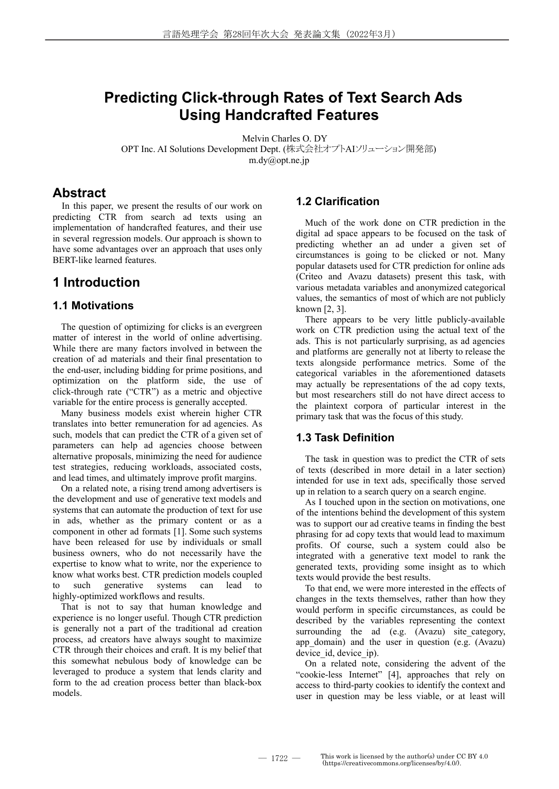# **Predicting Click-through Rates of Text Search Ads Using Handcrafted Features**

Melvin Charles O. DY OPT Inc. AI Solutions Development Dept. (株式会社オプトAIソリューション開発部) m.dy@opt.ne.jp

### **Abstract**

In this paper, we present the results of our work on predicting CTR from search ad texts using an implementation of handcrafted features, and their use in several regression models. Our approach is shown to have some advantages over an approach that uses only BERT-like learned features.

## **1 Introduction**

### **1.1 Motivations**

The question of optimizing for clicks is an evergreen matter of interest in the world of online advertising. While there are many factors involved in between the creation of ad materials and their final presentation to the end-user, including bidding for prime positions, and optimization on the platform side, the use of click-through rate ("CTR") as a metric and objective variable for the entire process is generally accepted.

Many business models exist wherein higher CTR translates into better remuneration for ad agencies. As such, models that can predict the CTR of a given set of parameters can help ad agencies choose between alternative proposals, minimizing the need for audience test strategies, reducing workloads, associated costs, and lead times, and ultimately improve profit margins.

On a related note, a rising trend among advertisers is the development and use of generative text models and systems that can automate the production of text for use in ads, whether as the primary content or as a component in other ad formats [1]. Some such systems have been released for use by individuals or small business owners, who do not necessarily have the expertise to know what to write, nor the experience to know what works best. CTR prediction models coupled to such generative systems can lead to highly-optimized workflows and results.

That is not to say that human knowledge and experience is no longer useful. Though CTR prediction is generally not a part of the traditional ad creation process, ad creators have always sought to maximize CTR through their choices and craft. It is my belief that this somewhat nebulous body of knowledge can be leveraged to produce a system that lends clarity and form to the ad creation process better than black-box models.

### **1.2 Clarification**

Much of the work done on CTR prediction in the digital ad space appears to be focused on the task of predicting whether an ad under a given set of circumstances is going to be clicked or not. Many popular datasets used for CTR prediction for online ads (Criteo and Avazu datasets) present this task, with various metadata variables and anonymized categorical values, the semantics of most of which are not publicly known [2, 3].

There appears to be very little publicly-available work on CTR prediction using the actual text of the ads. This is not particularly surprising, as ad agencies and platforms are generally not at liberty to release the texts alongside performance metrics. Some of the categorical variables in the aforementioned datasets may actually be representations of the ad copy texts, but most researchers still do not have direct access to the plaintext corpora of particular interest in the primary task that was the focus of this study.

### **1.3 Task Definition**

The task in question was to predict the CTR of sets of texts (described in more detail in a later section) intended for use in text ads, specifically those served up in relation to a search query on a search engine.

As I touched upon in the section on motivations, one of the intentions behind the development of this system was to support our ad creative teams in finding the best phrasing for ad copy texts that would lead to maximum profits. Of course, such a system could also be integrated with a generative text model to rank the generated texts, providing some insight as to which texts would provide the best results.

To that end, we were more interested in the effects of changes in the texts themselves, rather than how they would perform in specific circumstances, as could be described by the variables representing the context surrounding the ad (e.g. (Avazu) site category, app domain) and the user in question (e.g.  $(Avazu)$ ) device id, device\_ip).

On a related note, considering the advent of the "cookie-less Internet" [4], approaches that rely on access to third-party cookies to identify the context and user in question may be less viable, or at least will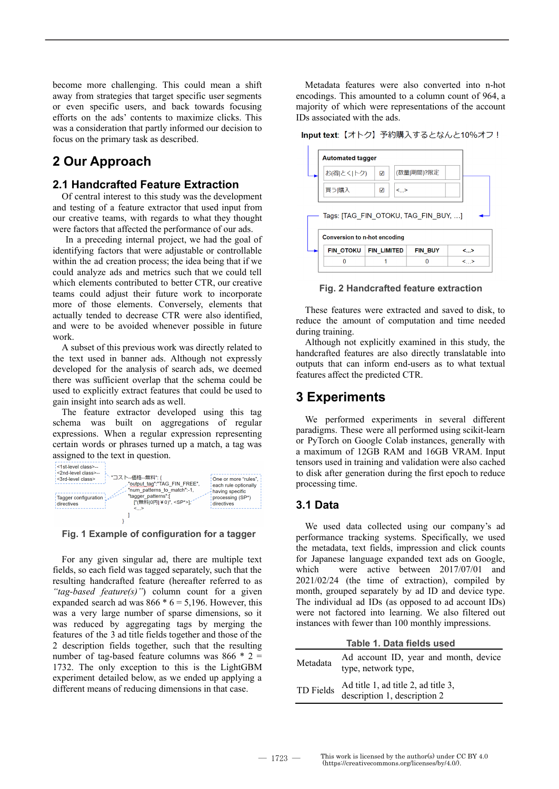become more challenging. This could mean a shift away from strategies that target specific user segments or even specific users, and back towards focusing efforts on the ads' contents to maximize clicks. This was a consideration that partly informed our decision to focus on the primary task as described.

## **2 Our Approach**

#### **2.1 Handcrafted Feature Extraction**

Of central interest to this study was the development and testing of a feature extractor that used input from our creative teams, with regards to what they thought were factors that affected the performance of our ads.

In a preceding internal project, we had the goal of identifying factors that were adjustable or controllable within the ad creation process; the idea being that if we could analyze ads and metrics such that we could tell which elements contributed to better CTR, our creative teams could adjust their future work to incorporate more of those elements. Conversely, elements that actually tended to decrease CTR were also identified, and were to be avoided whenever possible in future work.

A subset of this previous work was directly related to the text used in banner ads. Although not expressly developed for the analysis of search ads, we deemed there was sufficient overlap that the schema could be used to explicitly extract features that could be used to gain insight into search ads as well.

The feature extractor developed using this tag schema was built on aggregations of regular expressions. When a regular expression representing certain words or phrases turned up a match, a tag was assigned to the text in question.



**Fig. 1 Example of configuration for a tagger**

For any given singular ad, there are multiple text fields, so each field was tagged separately, such that the resulting handcrafted feature (hereafter referred to as *"tag-based feature(s)"*) column count for a given expanded search ad was  $866 * 6 = 5,196$ . However, this was a very large number of sparse dimensions, so it was reduced by aggregating tags by merging the features of the 3 ad title fields together and those of the 2 description fields together, such that the resulting number of tag-based feature columns was  $866 * 2 =$ 1732. The only exception to this is the LightGBM experiment detailed below, as we ended up applying a different means of reducing dimensions in that case.

Metadata features were also converted into n-hot encodings. This amounted to a column count of 964, a majority of which were representations of the account IDs associated with the ads.

Input text: 【オトク】予約購入するとなんと10%オフ!



**Fig. 2 Handcrafted feature extraction**

These features were extracted and saved to disk, to reduce the amount of computation and time needed during training.

Although not explicitly examined in this study, the handcrafted features are also directly translatable into outputs that can inform end-users as to what textual features affect the predicted CTR.

## **3 Experiments**

We performed experiments in several different paradigms. These were all performed using scikit-learn or PyTorch on Google Colab instances, generally with a maximum of 12GB RAM and 16GB VRAM. Input tensors used in training and validation were also cached to disk after generation during the first epoch to reduce processing time.

### **3.1 Data**

We used data collected using our company's ad performance tracking systems. Specifically, we used the metadata, text fields, impression and click counts for Japanese language expanded text ads on Google, which were active between 2017/07/01 and 2021/02/24 (the time of extraction), compiled by month, grouped separately by ad ID and device type. The individual ad IDs (as opposed to ad account IDs) were not factored into learning. We also filtered out instances with fewer than 100 monthly impressions.

| Table 1. Data fields used |                                                                     |  |  |  |
|---------------------------|---------------------------------------------------------------------|--|--|--|
| Metadata                  | Ad account ID, year and month, device<br>type, network type,        |  |  |  |
| TD Fields                 | Ad title 1, ad title 2, ad title 3,<br>description 1, description 2 |  |  |  |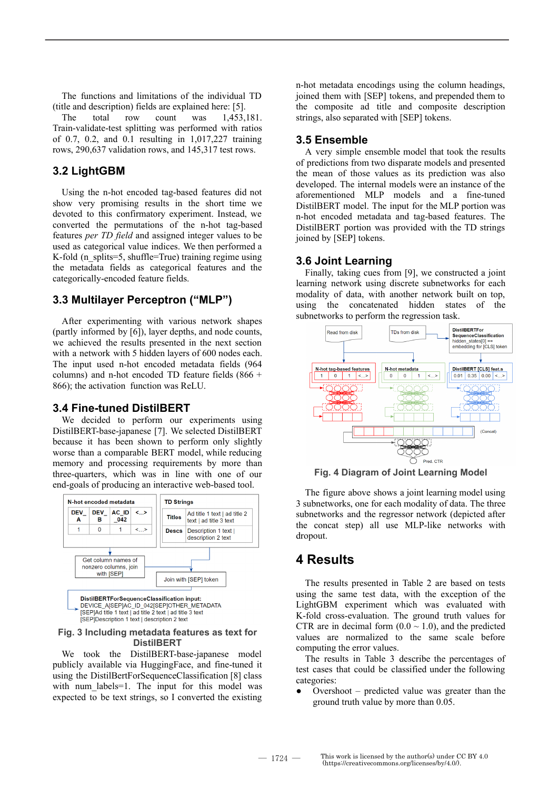The functions and limitations of the individual TD (title and description) fields are explained here: [5].

The total row count was 1,453,181. Train-validate-test splitting was performed with ratios of 0.7, 0.2, and 0.1 resulting in 1,017,227 training rows, 290,637 validation rows, and 145,317 test rows.

#### **3.2 LightGBM**

Using the n-hot encoded tag-based features did not show very promising results in the short time we devoted to this confirmatory experiment. Instead, we converted the permutations of the n-hot tag-based features *per TD field* and assigned integer values to be used as categorical value indices. We then performed a K-fold (n\_splits=5, shuffle=True) training regime using the metadata fields as categorical features and the categorically-encoded feature fields.

#### **3.3 Multilayer Perceptron ("MLP")**

After experimenting with various network shapes (partly informed by [6]), layer depths, and node counts, we achieved the results presented in the next section with a network with 5 hidden layers of 600 nodes each. The input used n-hot encoded metadata fields (964 columns) and n-hot encoded TD feature fields (866 + 866); the activation function was ReLU.

#### **3.4 Fine-tuned DistilBERT**

We decided to perform our experiments using DistilBERT-base-japanese [7]. We selected DistilBERT because it has been shown to perform only slightly worse than a comparable BERT model, while reducing memory and processing requirements by more than three-quarters, which was in line with one of our end-goals of producing an interactive web-based tool.



#### **Fig. 3 Including metadata features as text for DistilBERT**

We took the DistilBERT-base-japanese model publicly available via HuggingFace, and fine-tuned it using the DistilBertForSequenceClassification [8] class with num labels=1. The input for this model was expected to be text strings, so I converted the existing n-hot metadata encodings using the column headings, joined them with [SEP] tokens, and prepended them to the composite ad title and composite description strings, also separated with [SEP] tokens.

#### **3.5 Ensemble**

A very simple ensemble model that took the results of predictions from two disparate models and presented the mean of those values as its prediction was also developed. The internal models were an instance of the aforementioned MLP models and a fine-tuned DistilBERT model. The input for the MLP portion was n-hot encoded metadata and tag-based features. The DistilBERT portion was provided with the TD strings joined by [SEP] tokens.

#### **3.6 Joint Learning**

Finally, taking cues from [9], we constructed a joint learning network using discrete subnetworks for each modality of data, with another network built on top, using the concatenated hidden states of the subnetworks to perform the regression task.



**Fig. 4 Diagram of Joint Learning Model**

The figure above shows a joint learning model using 3 subnetworks, one for each modality of data. The three subnetworks and the regressor network (depicted after the concat step) all use MLP-like networks with dropout.

### **4 Results**

The results presented in Table 2 are based on tests using the same test data, with the exception of the LightGBM experiment which was evaluated with K-fold cross-evaluation. The ground truth values for CTR are in decimal form  $(0.0 \sim 1.0)$ , and the predicted values are normalized to the same scale before computing the error values.

The results in Table 3 describe the percentages of test cases that could be classified under the following categories:

Overshoot – predicted value was greater than the ground truth value by more than 0.05.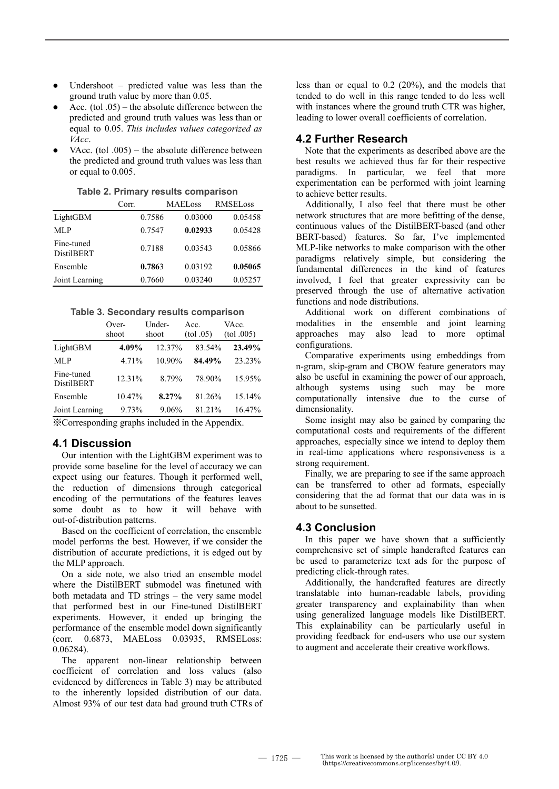- Undershoot predicted value was less than the ground truth value by more than 0.05.
- Acc. (tol  $.05$ ) the absolute difference between the predicted and ground truth values was less than or equal to 0.05. *This includes values categorized as VAcc*.
- VAcc. (tol  $.005$ ) the absolute difference between the predicted and ground truth values was less than or equal to 0.005.

|                                 | Corr.  | <b>MAELoss</b> | <b>RMSELoss</b> |
|---------------------------------|--------|----------------|-----------------|
| LightGBM                        | 0.7586 | 0.03000        | 0.05458         |
| MLP                             | 0.7547 | 0.02933        | 0.05428         |
| Fine-tuned<br><b>DistilBERT</b> | 0.7188 | 0.03543        | 0.05866         |
| Ensemble                        | 0.7863 | 0.03192        | 0.05065         |
| Joint Learning                  | 0.7660 | 0.03240        | 0.05257         |

**Table 2. Primary results comparison**

**Table 3. Secondary results comparison**

|                                                               | Over-<br>shoot | Under-<br>shoot | Acc.<br>(tol.05) | VAcc.<br>(tol.005) |  |  |
|---------------------------------------------------------------|----------------|-----------------|------------------|--------------------|--|--|
| LightGBM                                                      | 4.09%          | 12.37%          | 83.54%           | 23.49%             |  |  |
| MLP                                                           | 4.71%          | 10.90%          | 84.49%           | 23.23%             |  |  |
| Fine-tuned<br><b>DistilBERT</b>                               | 12.31%         | 8 79%           | 78.90%           | 15.95%             |  |  |
| Ensemble                                                      | 10.47%         | 8.27%           | 81.26%           | 15.14%             |  |  |
| Joint Learning                                                | 9.73%          | 9.06%           | 81.21%           | 16.47%             |  |  |
| <i><u>M.Corresponding graphs included in the Annandiv</u></i> |                |                 |                  |                    |  |  |

※Corresponding graphs included in the Appendix.

#### **4.1 Discussion**

Our intention with the LightGBM experiment was to provide some baseline for the level of accuracy we can expect using our features. Though it performed well, the reduction of dimensions through categorical encoding of the permutations of the features leaves some doubt as to how it will behave with out-of-distribution patterns.

Based on the coefficient of correlation, the ensemble model performs the best. However, if we consider the distribution of accurate predictions, it is edged out by the MLP approach.

On a side note, we also tried an ensemble model where the DistilBERT submodel was finetuned with both metadata and TD strings – the very same model that performed best in our Fine-tuned DistilBERT experiments. However, it ended up bringing the performance of the ensemble model down significantly (corr. 0.6873, MAELoss 0.03935, RMSELoss: 0.06284).

The apparent non-linear relationship between coefficient of correlation and loss values (also evidenced by differences in Table 3) may be attributed to the inherently lopsided distribution of our data. Almost 93% of our test data had ground truth CTRs of less than or equal to 0.2 (20%), and the models that tended to do well in this range tended to do less well with instances where the ground truth CTR was higher, leading to lower overall coefficients of correlation.

#### **4.2 Further Research**

Note that the experiments as described above are the best results we achieved thus far for their respective paradigms. In particular, we feel that more experimentation can be performed with joint learning to achieve better results.

Additionally, I also feel that there must be other network structures that are more befitting of the dense, continuous values of the DistilBERT-based (and other BERT-based) features. So far, I've implemented MLP-like networks to make comparison with the other paradigms relatively simple, but considering the fundamental differences in the kind of features involved, I feel that greater expressivity can be preserved through the use of alternative activation functions and node distributions.

Additional work on different combinations of modalities in the ensemble and joint learning approaches may also lead to more optimal configurations.

Comparative experiments using embeddings from n-gram, skip-gram and CBOW feature generators may also be useful in examining the power of our approach, although systems using such may be more computationally intensive due to the curse of dimensionality.

Some insight may also be gained by comparing the computational costs and requirements of the different approaches, especially since we intend to deploy them in real-time applications where responsiveness is a strong requirement.

Finally, we are preparing to see if the same approach can be transferred to other ad formats, especially considering that the ad format that our data was in is about to be sunsetted.

#### **4.3 Conclusion**

In this paper we have shown that a sufficiently comprehensive set of simple handcrafted features can be used to parameterize text ads for the purpose of predicting click-through rates.

Additionally, the handcrafted features are directly translatable into human-readable labels, providing greater transparency and explainability than when using generalized language models like DistilBERT. This explainability can be particularly useful in providing feedback for end-users who use our system to augment and accelerate their creative workflows.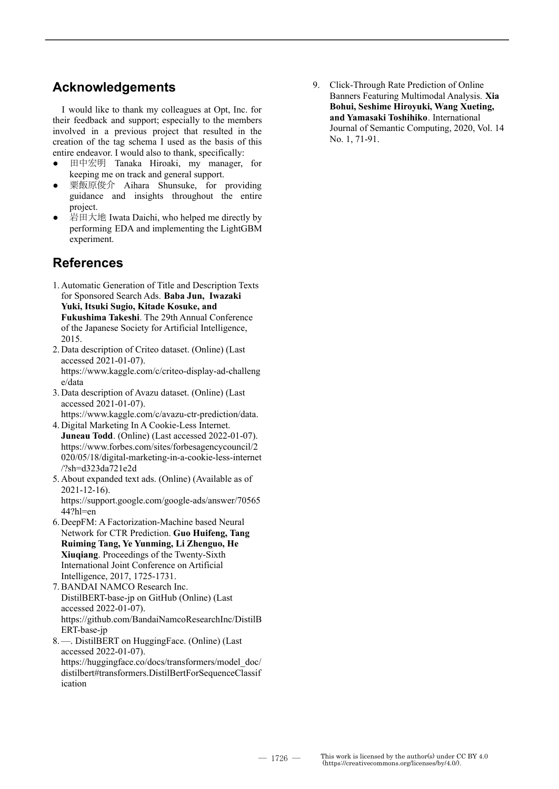# **Acknowledgements**

I would like to thank my colleagues at Opt, Inc. for their feedback and support; especially to the members involved in a previous project that resulted in the creation of the tag schema I used as the basis of this entire endeavor. I would also to thank, specifically:

- 田中宏明 Tanaka Hiroaki, my manager, for keeping me on track and general support.
- 栗飯原俊介 Aihara Shunsuke, for providing guidance and insights throughout the entire project.
- 岩田大地 Iwata Daichi, who helped me directly by performing EDA and implementing the LightGBM experiment.

# **References**

- 1. Automatic Generation of Title and Description Texts for Sponsored Search Ads. **Baba Jun, Iwazaki Yuki, Itsuki Sugio, Kitade Kosuke, and Fukushima Takeshi**. The 29th Annual Conference of the Japanese Society for Artificial Intelligence, 2015.
- 2. Data description of Criteo dataset. (Online) (Last accessed 2021-01-07). https://www.kaggle.com/c/criteo-display-ad-challeng e/data
- 3. Data description of Avazu dataset. (Online) (Last accessed 2021-01-07). https://www.kaggle.com/c/avazu-ctr-prediction/data.
- 4. Digital Marketing In A Cookie-Less Internet. **Juneau Todd**. (Online) (Last accessed 2022-01-07). https://www.forbes.com/sites/forbesagencycouncil/2 020/05/18/digital-marketing-in-a-cookie-less-internet /?sh=d323da721e2d
- 5. About expanded text ads. (Online) (Available as of 2021-12-16). https://support.google.com/google-ads/answer/70565  $44$ ?hl=en
- 6. DeepFM: A Factorization-Machine based Neural Network for CTR Prediction. **Guo Huifeng, Tang Ruiming Tang, Ye Yunming, Li Zhenguo, He Xiuqiang**. Proceedings of the Twenty-Sixth International Joint Conference on Artificial Intelligence, 2017, 1725-1731.
- 7. BANDAI NAMCO Research Inc. DistilBERT-base-jp on GitHub (Online) (Last accessed 2022-01-07). https://github.com/BandaiNamcoResearchInc/DistilB ERT-base-jp
- 8. —. DistilBERT on HuggingFace. (Online) (Last accessed 2022-01-07). https://huggingface.co/docs/transformers/model\_doc/ distilbert#transformers.DistilBertForSequenceClassif ication

9. Click-Through Rate Prediction of Online Banners Featuring Multimodal Analysis. **Xia Bohui, Seshime Hiroyuki, Wang Xueting, and Yamasaki Toshihiko**. International Journal of Semantic Computing, 2020, Vol. 14 No. 1, 71-91.